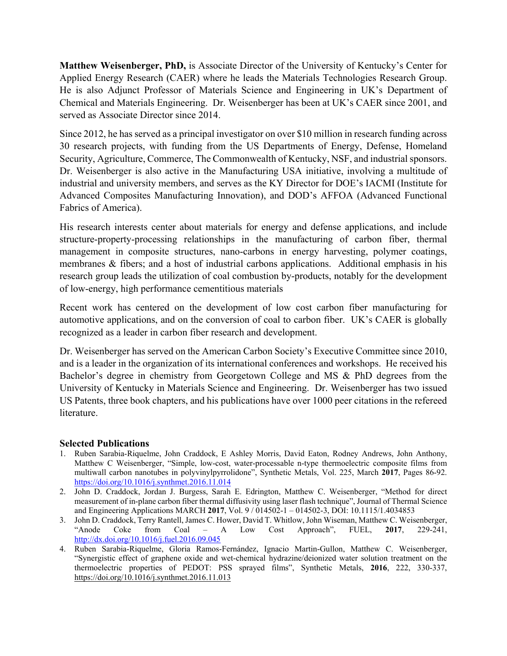**Matthew Weisenberger, PhD,** is Associate Director of the University of Kentucky's Center for Applied Energy Research (CAER) where he leads the Materials Technologies Research Group. He is also Adjunct Professor of Materials Science and Engineering in UK's Department of Chemical and Materials Engineering. Dr. Weisenberger has been at UK's CAER since 2001, and served as Associate Director since 2014.

Since 2012, he has served as a principal investigator on over \$10 million in research funding across 30 research projects, with funding from the US Departments of Energy, Defense, Homeland Security, Agriculture, Commerce, The Commonwealth of Kentucky, NSF, and industrial sponsors. Dr. Weisenberger is also active in the Manufacturing USA initiative, involving a multitude of industrial and university members, and serves as the KY Director for DOE's IACMI (Institute for Advanced Composites Manufacturing Innovation), and DOD's AFFOA (Advanced Functional Fabrics of America).

His research interests center about materials for energy and defense applications, and include structure-property-processing relationships in the manufacturing of carbon fiber, thermal management in composite structures, nano-carbons in energy harvesting, polymer coatings, membranes & fibers; and a host of industrial carbons applications. Additional emphasis in his research group leads the utilization of coal combustion by-products, notably for the development of low-energy, high performance cementitious materials

Recent work has centered on the development of low cost carbon fiber manufacturing for automotive applications, and on the conversion of coal to carbon fiber. UK's CAER is globally recognized as a leader in carbon fiber research and development.

Dr. Weisenberger has served on the American Carbon Society's Executive Committee since 2010, and is a leader in the organization of its international conferences and workshops. He received his Bachelor's degree in chemistry from Georgetown College and MS & PhD degrees from the University of Kentucky in Materials Science and Engineering. Dr. Weisenberger has two issued US Patents, three book chapters, and his publications have over 1000 peer citations in the refereed literature.

## **Selected Publications**

- 1. Ruben Sarabia-Riquelme, John Craddock, E Ashley Morris, David Eaton, Rodney Andrews, John Anthony, Matthew C Weisenberger, "Simple, low-cost, water-processable n-type thermoelectric composite films from multiwall carbon nanotubes in polyvinylpyrrolidone", Synthetic Metals, Vol. 225, March **2017**, Pages 86-92. https://doi.org/10.1016/j.synthmet.2016.11.014
- 2. John D. Craddock, Jordan J. Burgess, Sarah E. Edrington, Matthew C. Weisenberger, "Method for direct measurement of in-plane carbon fiber thermal diffusivity using laser flash technique", Journal of Thermal Science and Engineering Applications MARCH **2017**, Vol. 9 / 014502-1 – 014502-3, DOI: 10.1115/1.4034853
- 3. John D. Craddock, Terry Rantell, James C. Hower, David T. Whitlow, John Wiseman, Matthew C. Weisenberger, "Anode Coke from Coal – A Low Cost Approach", FUEL, **2017**, 229-241, http://dx.doi.org/10.1016/j.fuel.2016.09.045
- 4. Ruben Sarabia-Riquelme, Gloria Ramos-Fernández, Ignacio Martin-Gullon, Matthew C. Weisenberger, "Synergistic effect of graphene oxide and wet-chemical hydrazine/deionized water solution treatment on the thermoelectric properties of PEDOT: PSS sprayed films", Synthetic Metals, **2016**, 222, 330-337, https://doi.org/10.1016/j.synthmet.2016.11.013